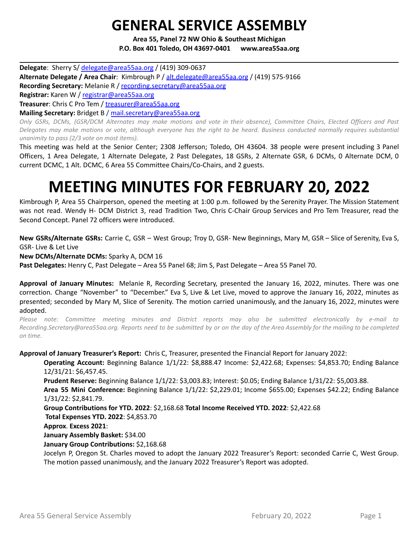## **GENERAL SERVICE ASSEMBLY**

**Area 55, Panel 72 NW Ohio & Southeast Michigan P.O. Box 401 Toledo, OH 43697-0401 www.area55aa.org**

**Delegate**: Sherry S/ [delegate@area55aa.org](mailto:delegate@area55aa.org) / (419) 309-0637 **Alternate Delegate / Area Chair**: Kimbrough P / [alt.delegate@area55aa.org](mailto:alt.delegate@area55aa.org) / (419) 575-9166 **Recording Secretary:** Melanie R / [recording.secretary@area55aa.org](mailto:recording.secretary@area55aa.org) **Registrar:** Karen W / [registrar@area55aa.org](mailto:recording.secretary@area55aa.org) **Treasurer**: Chris C Pro Tem / [treasurer@area55aa.org](mailto:recording.secretary@area55aa.org) **Mailing Secretary:** Bridget B / [mail.secretary@area55aa.org](mailto:recording.secretary@area55aa.org)

Only GSRs, DCMs, (GSR/DCM Alternates may make motions and vote in their absence), Committee Chairs, Elected Officers and Past Delegates may make motions or vote, although everyone has the right to be heard. Business conducted normally requires substantial *unanimity to pass (2/3 vote on most items).*

This meeting was held at the Senior Center; 2308 Jefferson; Toledo, OH 43604. 38 people were present including 3 Panel Officers, 1 Area Delegate, 1 Alternate Delegate, 2 Past Delegates, 18 GSRs, 2 Alternate GSR, 6 DCMs, 0 Alternate DCM, 0 current DCMC, 1 Alt. DCMC, 6 Area 55 Committee Chairs/Co-Chairs, and 2 guests.

# **MEETING MINUTES FOR FEBRUARY 20, 2022**

Kimbrough P, Area 55 Chairperson, opened the meeting at 1:00 p.m. followed by the Serenity Prayer. The Mission Statement was not read. Wendy H- DCM District 3, read Tradition Two, Chris C-Chair Group Services and Pro Tem Treasurer, read the Second Concept. Panel 72 officers were introduced.

**New GSRs/Alternate GSRs:** Carrie C, GSR – West Group; Troy D, GSR- New Beginnings, Mary M, GSR – Slice of Serenity, Eva S, GSR- Live & Let Live

**New DCMs/Alternate DCMs:** Sparky A, DCM 16

**Past Delegates:** Henry C, Past Delegate – Area 55 Panel 68; Jim S, Past Delegate – Area 55 Panel 70.

**Approval of January Minutes:** Melanie R, Recording Secretary, presented the January 16, 2022, minutes. There was one correction. Change "November" to "December." Eva S, Live & Let Live, moved to approve the January 16, 2022, minutes as presented; seconded by Mary M, Slice of Serenity. The motion carried unanimously, and the January 16, 2022, minutes were adopted.

*Please note: Committee meeting minutes and District reports may also be submitted electronically by e-mail to* Recording.Secretary@area55aa.org. Reports need to be submitted by or on the day of the Area Assembly for the mailing to be completed *on time.*

**Approval of January Treasurer's Report:** Chris C, Treasurer, presented the Financial Report for January 2022:

**Operating Account:** Beginning Balance 1/1/22: \$8,888.47 Income: \$2,422.68; Expenses: \$4,853.70; Ending Balance 12/31/21: \$6,457.45.

**Prudent Reserve:** Beginning Balance 1/1/22: \$3,003.83; Interest: \$0.05; Ending Balance 1/31/22: \$5,003.88.

**Area 55 Mini Conference:** Beginning Balance 1/1/22: \$2,229.01; Income \$655.00; Expenses \$42.22; Ending Balance 1/31/22: \$2,841.79.

**Group Contributions for YTD. 2022**: \$2,168.68 **Total Income Received YTD. 2022**: \$2,422.68 **Total Expenses YTD. 2022**: \$4,853.70

**Approx**. **Excess 2021**:

**January Assembly Basket:** \$34.00

**January Group Contributions:** \$2,168.68

Jocelyn P, Oregon St. Charles moved to adopt the January 2022 Treasurer's Report: seconded Carrie C, West Group. The motion passed unanimously, and the January 2022 Treasurer's Report was adopted.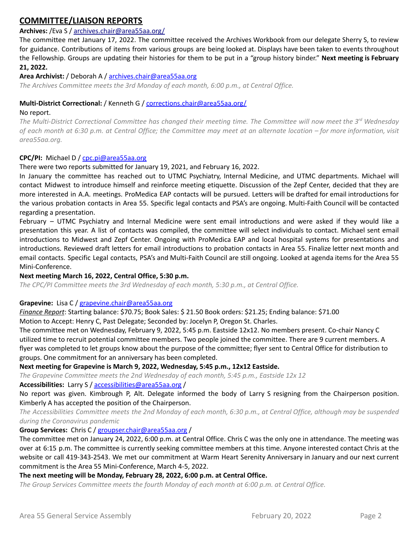## **COMMITTEE/LIAISON REPORTS**

## **Archives:** /Eva S / archives.chair@area55aa.org/

The committee met January 17, 2022. The committee received the Archives Workbook from our delegate Sherry S, to review for guidance. Contributions of items from various groups are being looked at. Displays have been taken to events throughout the Fellowship. Groups are updating their histories for them to be put in a "group history binder." **Next meeting is February 21, 2022.**

#### **Area Archivist:** / Deborah A / [archives.chair@area55aa.org](mailto:archives.chair@area55aa.org)

*The Archives Committee meets the 3rd Monday of each month, 6:00 p.m., at Central Office.*

## **Multi-District Correctional:** / Kenneth G / corrections.chair@area55aa.org/

#### No report.

The Multi-District Correctional Committee has changed their meeting time. The Committee will now meet the 3<sup>rd</sup> Wednesday of each month at 6:30 p.m. at Central Office; the Committee may meet at an alternate location – for more information, visit *area55aa.org.*

#### **CPC/PI:** Michael D / [cpc.pi@area55aa.org](mailto:cpc.pi@area55aa.org)

#### There were two reports submitted for January 19, 2021, and February 16, 2022.

In January the committee has reached out to UTMC Psychiatry, Internal Medicine, and UTMC departments. Michael will contact Midwest to introduce himself and reinforce meeting etiquette. Discussion of the Zepf Center, decided that they are more interested in A.A. meetings. ProMedica EAP contacts will be pursued. Letters will be drafted for email introductions for the various probation contacts in Area 55. Specific legal contacts and PSA's are ongoing. Multi-Faith Council will be contacted regarding a presentation.

February – UTMC Psychiatry and Internal Medicine were sent email introductions and were asked if they would like a presentation this year. A list of contacts was compiled, the committee will select individuals to contact. Michael sent email introductions to Midwest and Zepf Center. Ongoing with ProMedica EAP and local hospital systems for presentations and introductions. Reviewed draft letters for email introductions to probation contacts in Area 55. Finalize letter next month and email contacts. Specific Legal contacts, PSA's and Multi-Faith Council are still ongoing. Looked at agenda items for the Area 55 Mini-Conference.

#### **Next meeting March 16, 2022, Central Office, 5:30 p.m.**

*The CPC/PI Committee meets the 3rd Wednesday of each month, 5:30 p.m., at Central Office.*

#### **Grapevine:** Lisa C / [grapevine.chair@area55aa.org](mailto:grapevine.chair@area55aa.org)

*Finance Report*: Starting balance: \$70.75; Book Sales: \$ 21.50 Book orders: \$21.25; Ending balance: \$71.00 Motion to Accept: Henry C, Past Delegate; Seconded by: Jocelyn P, Oregon St. Charles.

The committee met on Wednesday, February 9, 2022, 5:45 p.m. Eastside 12x12. No members present. Co-chair Nancy C utilized time to recruit potential committee members. Two people joined the committee. There are 9 current members. A flyer was completed to let groups know about the purpose of the committee; flyer sent to Central Office for distribution to groups. One commitment for an anniversary has been completed.

#### **Next meeting for Grapevine is March 9, 2022, Wednesday, 5:45 p.m., 12x12 Eastside.**

*The Grapevine Committee meets the 2nd Wednesday of each month, 5:45 p.m., Eastside 12x 12*

**Accessibilities:** Larry S / [accessibilities@area55aa.org](mailto:accessibilities@area55aa.org) /

No report was given. Kimbrough P, Alt. Delegate informed the body of Larry S resigning from the Chairperson position. Kimberly A has accepted the position of the Chairperson.

The Accessibilities Committee meets the 2nd Monday of each month, 6:30 p.m., at Central Office, although may be suspended *during the Coronavirus pandemic*

#### **Group Services:** Chris C / [groupser.chair@area55aa.org](mailto:groupser.chair@area55aa.org) /

The committee met on January 24, 2022, 6:00 p.m. at Central Office. Chris C was the only one in attendance. The meeting was over at 6:15 p.m. The committee is currently seeking committee members at this time. Anyone interested contact Chris at the website or call 419-343-2543. We met our commitment at Warm Heart Serenity Anniversary in January and our next current commitment is the Area 55 Mini-Conference, March 4-5, 2022.

#### **The next meeting will be Monday, February 28, 2022, 6:00 p.m. at Central Office.**

*The Group Services Committee meets the fourth Monday of each month at 6:00 p.m. at Central Office.*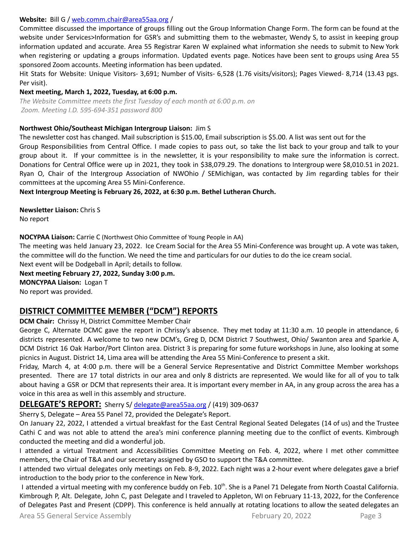#### **Website:** Bill G / [web.comm.chair@area55aa.org](mailto:web.comm.chair@area55aa.org) /

Committee discussed the importance of groups filling out the Group Information Change Form. The form can be found at the website under Services>Information for GSR's and submitting them to the webmaster, Wendy S, to assist in keeping group information updated and accurate. Area 55 Registrar Karen W explained what information she needs to submit to New York when registering or updating a groups information. Updated events page. Notices have been sent to groups using Area 55 sponsored Zoom accounts. Meeting information has been updated.

Hit Stats for Website: Unique Visitors- 3,691; Number of Visits- 6,528 (1.76 visits/visitors); Pages Viewed- 8,714 (13.43 pgs. Per visit).

#### **Next meeting, March 1, 2022, Tuesday, at 6:00 p.m.**

*The Website Committee meets the first Tuesday of each month at 6:00 p.m. on Zoom. Meeting I.D. 595-694-351 password 800*

#### **Northwest Ohio/Southeast Michigan Intergroup Liaison:** Jim S

The newsletter cost has changed. Mail subscription is \$15.00, Email subscription is \$5.00. A list was sent out for the Group Responsibilities from Central Office. I made copies to pass out, so take the list back to your group and talk to your group about it. If your committee is in the newsletter, it is your responsibility to make sure the information is correct. Donations for Central Office were up in 2021, they took in \$38,079.29. The donations to Intergroup were \$8,010.51 in 2021. Ryan O, Chair of the Intergroup Association of NWOhio / SEMichigan, was contacted by Jim regarding tables for their committees at the upcoming Area 55 Mini-Conference.

**Next Intergroup Meeting is February 26, 2022, at 6:30 p.m. Bethel Lutheran Church.**

**Newsletter Liaison:** Chris S No report

#### **NOCYPAA Liaison:** Carrie C (Northwest Ohio Committee of Young People in AA)

The meeting was held January 23, 2022. Ice Cream Social for the Area 55 Mini-Conference was brought up. A vote was taken, the committee will do the function. We need the time and particulars for our duties to do the ice cream social. Next event will be Dodgeball in April; details to follow.

**Next meeting February 27, 2022, Sunday 3:00 p.m.**

**MONCYPAA Liaison:** Logan T

No report was provided.

## **DISTRICT COMMITTEE MEMBER ("DCM") REPORTS**

**DCM Chair:** Chrissy H, District Committee Member Chair

George C, Alternate DCMC gave the report in Chrissy's absence. They met today at 11:30 a.m. 10 people in attendance, 6 districts represented. A welcome to two new DCM's, Greg D, DCM District 7 Southwest, Ohio/ Swanton area and Sparkie A, DCM District 16 Oak Harbor/Port Clinton area. District 3 is preparing for some future workshops in June, also looking at some picnics in August. District 14, Lima area will be attending the Area 55 Mini-Conference to present a skit.

Friday, March 4, at 4:00 p.m. there will be a General Service Representative and District Committee Member workshops presented. There are 17 total districts in our area and only 8 districts are represented. We would like for all of you to talk about having a GSR or DCM that represents their area. It is important every member in AA, in any group across the area has a voice in this area as well in this assembly and structure.

#### **DELEGATE'S REPORT:** Sherry S/ [delegate@area55aa.org](mailto:delegate@area55aa.org) / (419) 309-0637

Sherry S, Delegate – Area 55 Panel 72, provided the Delegate's Report.

On January 22, 2022, I attended a virtual breakfast for the East Central Regional Seated Delegates (14 of us) and the Trustee Cathi C and was not able to attend the area's mini conference planning meeting due to the conflict of events. Kimbrough conducted the meeting and did a wonderful job.

I attended a virtual Treatment and Accessibilities Committee Meeting on Feb. 4, 2022, where I met other committee members, the Chair of T&A and our secretary assigned by GSO to support the T&A committee.

I attended two virtual delegates only meetings on Feb. 8-9, 2022. Each night was a 2-hour event where delegates gave a brief introduction to the body prior to the conference in New York.

I attended a virtual meeting with my conference buddy on Feb. 10<sup>th</sup>. She is a Panel 71 Delegate from North Coastal California. Kimbrough P, Alt. Delegate, John C, past Delegate and I traveled to Appleton, WI on February 11-13, 2022, for the Conference of Delegates Past and Present (CDPP). This conference is held annually at rotating locations to allow the seated delegates an